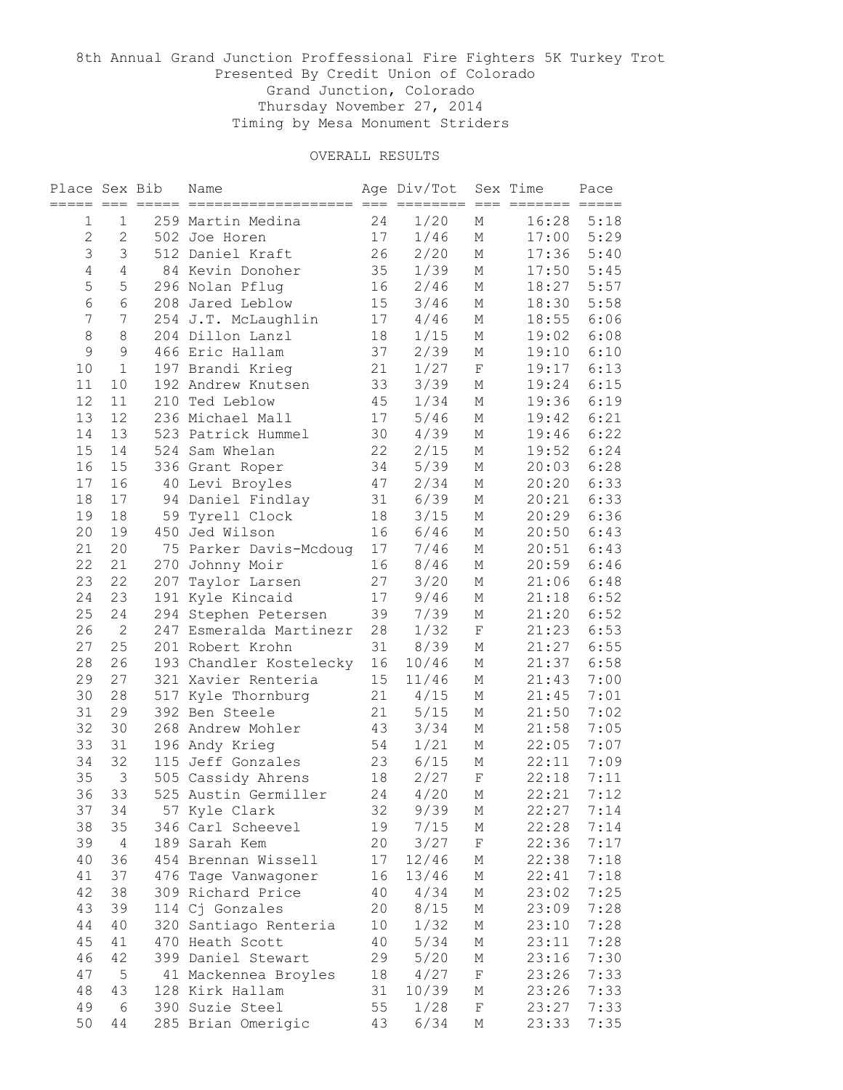# 8th Annual Grand Junction Proffessional Fire Fighters 5K Turkey Trot Presented By Credit Union of Colorado Grand Junction, Colorado Thursday November 27, 2014 Timing by Mesa Monument Striders

| Place Sex Bib  | $===$          |     | Name                    |    | Age Div/Tot<br>$=$ $=$ $=$ | $=$<br>$=$  | Sex Time | Pace |
|----------------|----------------|-----|-------------------------|----|----------------------------|-------------|----------|------|
| 1              | $\mathbf 1$    |     | 259 Martin Medina       | 24 | 1/20                       | М           | 16:28    | 5:18 |
| $\overline{c}$ | $\overline{2}$ |     | 502 Joe Horen           | 17 | 1/46                       | М           | 17:00    | 5:29 |
| $\mathfrak{Z}$ | 3              |     | 512 Daniel Kraft        | 26 | 2/20                       | М           | 17:36    | 5:40 |
| $\overline{4}$ | 4              |     | 84 Kevin Donoher        | 35 | 1/39                       | М           | 17:50    | 5:45 |
| 5              | 5              |     | 296 Nolan Pflug         | 16 | 2/46                       | М           | 18:27    | 5:57 |
| $\epsilon$     | 6              |     | 208 Jared Leblow        | 15 | $3/46$                     | М           | 18:30    | 5:58 |
| 7              | 7              |     | 254 J.T. McLaughlin     | 17 | 4/46                       | М           | 18:55    | 6:06 |
| 8              | 8              |     | 204 Dillon Lanzl        | 18 | 1/15                       | М           | 19:02    | 6:08 |
| 9              | 9              |     | 466 Eric Hallam         | 37 | 2/39                       | М           | 19:10    | 6:10 |
| 10             | $1\,$          |     | 197 Brandi Krieg        | 21 | 1/27                       | $\mathbf F$ | 19:17    | 6:13 |
| 11             | 10             |     | 192 Andrew Knutsen      | 33 | 3/39                       | М           | 19:24    | 6:15 |
| 12             | 11             |     | 210 Ted Leblow          | 45 | 1/34                       | М           | 19:36    | 6:19 |
| 13             | 12             |     | 236 Michael Mall        | 17 | 5/46                       | М           | 19:42    | 6:21 |
| 14             | 13             |     | 523 Patrick Hummel      | 30 | 4/39                       | М           | 19:46    | 6:22 |
| 15             | 14             |     | 524 Sam Whelan          | 22 | 2/15                       | М           | 19:52    | 6:24 |
| 16             | 15             |     | 336 Grant Roper         | 34 | 5/39                       | М           | 20:03    | 6:28 |
| 17             | 16             |     | 40 Levi Broyles         | 47 | 2/34                       | М           | 20:20    | 6:33 |
| 18             | 17             | 94  | Daniel Findlay          | 31 | 6/39                       | М           | 20:21    | 6:33 |
| 19             | 18             | 59  | Tyrell Clock            | 18 | 3/15                       | М           | 20:29    | 6:36 |
| 20             | 19             |     | 450 Jed Wilson          | 16 | 6/46                       | М           | 20:50    | 6:43 |
| 21             | 20             |     | 75 Parker Davis-Mcdoug  | 17 | 7/46                       | М           | 20:51    | 6:43 |
| 22             | 21             | 270 | Johnny Moir             | 16 | 8/46                       | М           | 20:59    | 6:46 |
| 23             | 22             | 207 | Taylor Larsen           | 27 | 3/20                       | М           | 21:06    | 6:48 |
| 24             | 23             | 191 | Kyle Kincaid            | 17 | 9/46                       | М           | 21:18    | 6:52 |
| 25             | 24             | 294 | Stephen Petersen        | 39 | 7/39                       | М           | 21:20    | 6:52 |
| 26             | 2              | 247 | Esmeralda Martinezr     | 28 | 1/32                       | $\mathbf F$ | 21:23    | 6:53 |
| 27             | 25             |     | 201 Robert Krohn        | 31 | 8/39                       | М           | 21:27    | 6:55 |
| 28             | 26             |     | 193 Chandler Kostelecky | 16 | 10/46                      | М           | 21:37    | 6:58 |
| 29             | 27             |     | 321 Xavier Renteria     | 15 | 11/46                      | М           | 21:43    | 7:00 |
| 30             | 28             | 517 | Kyle Thornburg          | 21 | 4/15                       | М           | 21:45    | 7:01 |
| 31             | 29             |     | 392 Ben Steele          | 21 | $5/15$                     | М           | 21:50    | 7:02 |
| 32             | 30             |     | 268 Andrew Mohler       | 43 | 3/34                       | М           | 21:58    | 7:05 |
| 33             | 31             |     | 196 Andy Krieg          | 54 | 1/21                       | М           | 22:05    | 7:07 |
| 34             | 32             |     | 115 Jeff Gonzales       | 23 | 6/15                       | М           | 22:11    | 7:09 |
| 35             | $\mathcal{S}$  |     | 505 Cassidy Ahrens      | 18 | 2/27                       | $\rm F$     | 22:18    | 7:11 |
| 36             | 33             |     | 525 Austin Germiller    | 24 | 4/20                       | М           | 22:21    | 7:12 |
| 37             | 34             |     | 57 Kyle Clark           | 32 | 9/39                       | Μ           | 22:27    | 7:14 |
| 38             | 35             |     | 346 Carl Scheevel       | 19 | 7/15                       | М           | 22:28    | 7:14 |
| 39             | $\overline{4}$ |     | 189 Sarah Kem           | 20 | 3/27                       | F           | 22:36    | 7:17 |
| 40             | 36             |     | 454 Brennan Wissell     | 17 | 12/46                      | М           | 22:38    | 7:18 |
| 41             | 37             |     | 476 Tage Vanwagoner     | 16 | 13/46                      | М           | 22:41    | 7:18 |
| 42             | 38             |     | 309 Richard Price       | 40 | 4/34                       | М           | 23:02    | 7:25 |
| 43             | 39             |     | 114 Cj Gonzales         | 20 | 8/15                       | М           | 23:09    | 7:28 |
| 44             | 40             |     | 320 Santiago Renteria   | 10 | 1/32                       | М           | 23:10    | 7:28 |
| 45             | 41             |     | 470 Heath Scott         | 40 | 5/34                       | М           | 23:11    | 7:28 |
| 46             | 42             |     | 399 Daniel Stewart      | 29 | 5/20                       | М           | 23:16    | 7:30 |
| 47             | $\mathsf S$    |     | 41 Mackennea Broyles    | 18 | 4/27                       | $\mathbf F$ | 23:26    | 7:33 |
| 48             | 43             |     | 128 Kirk Hallam         | 31 | 10/39                      | Μ           | 23:26    | 7:33 |
| 49             | $\epsilon$     |     | 390 Suzie Steel         | 55 | 1/28                       | F           | 23:27    | 7:33 |
| 50             | 44             |     | 285 Brian Omerigic      | 43 | 6/34                       | Μ           | 23:33    | 7:35 |
|                |                |     |                         |    |                            |             |          |      |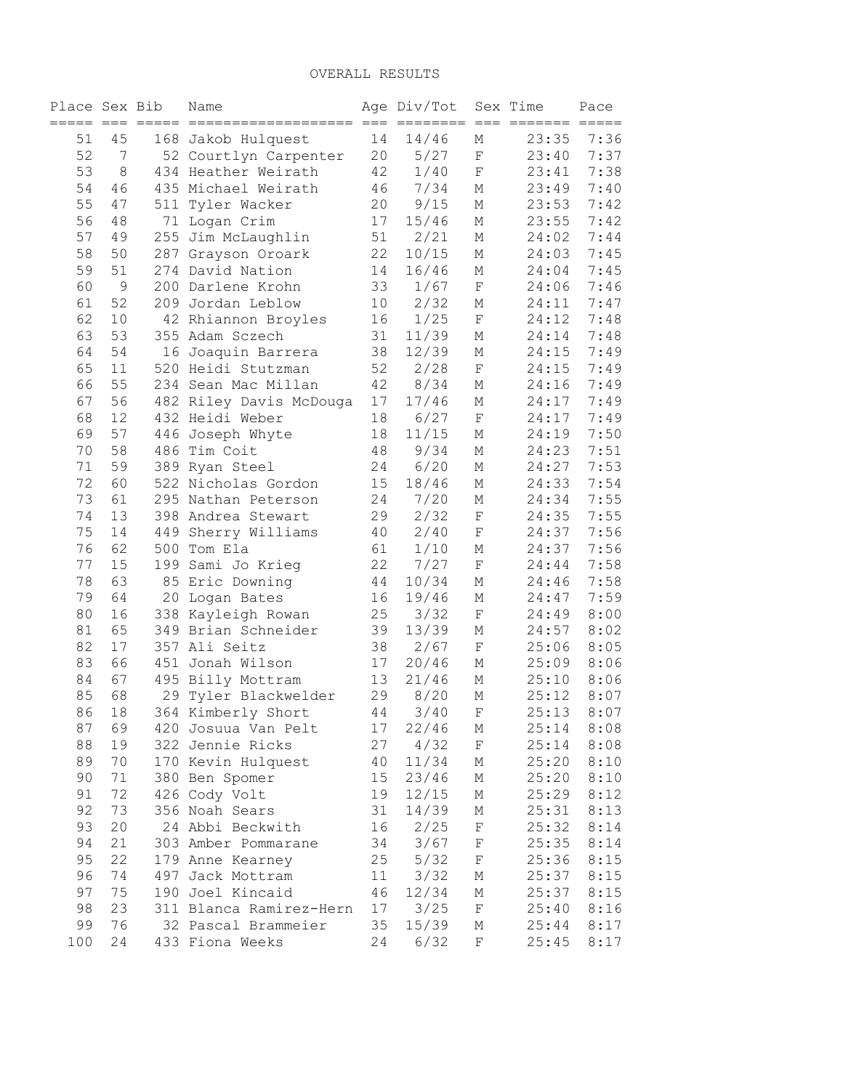| Place Sex Bib<br>$=$ $=$ $=$ |             |     | Name                    |        | Age Div/Tot<br>$=$ $=$ $-$ |                    | Sex Time | Pace |
|------------------------------|-------------|-----|-------------------------|--------|----------------------------|--------------------|----------|------|
| 51                           | 45          |     | 168 Jakob Hulquest      | 14     | 14/46                      | М                  | 23:35    | 7:36 |
| 52                           | 7           |     | 52 Courtlyn Carpenter   | 20     | $5/27$                     | $\mathbf F$        | 23:40    | 7:37 |
| 53                           | $\,8\,$     |     | 434 Heather Weirath     | 42     | 1/40                       | $\mathbf F$        | 23:41    | 7:38 |
| 54                           | 46          |     | 435 Michael Weirath     | 46     | 7/34                       | М                  | 23:49    | 7:40 |
| 55                           | 47          | 511 | Tyler Wacker            | 20     | 9/15                       | М                  | 23:53    | 7:42 |
| 56                           | 48          |     | 71 Logan Crim           | 17     | 15/46                      | М                  | 23:55    | 7:42 |
| 57                           | 49          |     | 255 Jim McLaughlin      | 51     | 2/21                       | М                  | 24:02    | 7:44 |
| 58                           | 50          |     | 287 Grayson Oroark      | 22     | 10/15                      | М                  | 24:03    | 7:45 |
| 59                           | 51          |     | 274 David Nation        | 14     | 16/46                      | М                  | 24:04    | 7:45 |
| 60                           | $\mathsf 9$ |     | 200 Darlene Krohn       | 33     | 1/67                       | $\mathbf F$        | 24:06    | 7:46 |
| 61                           | 52          |     | 209 Jordan Leblow       | 10     | 2/32                       | М                  | 24:11    | 7:47 |
| 62                           | 10          |     | 42 Rhiannon Broyles     | 16     | 1/25                       | $\mathbf F$        | 24:12    | 7:48 |
| 63                           | 53          |     | 355 Adam Sczech         | 31     | 11/39                      | М                  | 24:14    | 7:48 |
| 64                           | 54          |     | 16 Joaquin Barrera      | 38     | 12/39                      | М                  | 24:15    | 7:49 |
| 65                           | 11          |     | 520 Heidi Stutzman      | 52     | 2/28                       | $\mathbf F$        | 24:15    | 7:49 |
| 66                           | 55          |     | 234 Sean Mac Millan     | 42     | 8/34                       | М                  | 24:16    | 7:49 |
| 67                           | 56          |     | 482 Riley Davis McDouga | 17     | 17/46                      | М                  | 24:17    | 7:49 |
| 68                           | 12          |     | 432 Heidi Weber         | 18     | 6/27                       | $\mathbf F$        | 24:17    | 7:49 |
| 69                           | 57          | 446 | Joseph Whyte            | 18     | 11/15                      | М                  | 24:19    | 7:50 |
| 70                           | 58          |     | 486 Tim Coit            | 48     | 9/34                       | М                  | 24:23    | 7:51 |
| 71                           | 59          |     | 389 Ryan Steel          | 24     | 6/20                       | М                  | 24:27    | 7:53 |
| 72                           | 60          |     | 522 Nicholas Gordon     | 15     | 18/46                      | М                  | 24:33    | 7:54 |
| 73                           | 61          |     | 295 Nathan Peterson     | 24     | 7/20                       | М                  | 24:34    | 7:55 |
| 74                           | 13          |     | 398 Andrea Stewart      | 29     | 2/32                       | $\rm F$            | 24:35    | 7:55 |
| 75                           | 14          | 449 | Sherry Williams         | 40     | 2/40                       | $\rm F$            | 24:37    | 7:56 |
| 76                           | 62          | 500 | Tom Ela                 | 61     | 1/10                       | М                  | 24:37    | 7:56 |
| 77                           | 15          | 199 | Sami Jo Krieg           | 22     | 7/27                       | $\mathbf F$        | 24:44    | 7:58 |
| 78                           | 63          |     | 85 Eric Downing         | 44     | 10/34                      | М                  | 24:46    | 7:58 |
| 79                           | 64          | 20  | Logan Bates             | 16     | 19/46                      | М                  | 24:47    | 7:59 |
| 80                           | 16          |     | 338 Kayleigh Rowan      | 25     | 3/32                       | $\mathbf F$        | 24:49    | 8:00 |
| 81                           | 65          |     | 349 Brian Schneider     | 39     | 13/39                      | М                  | 24:57    | 8:02 |
| 82                           | 17          |     | 357 Ali Seitz           | 38     | 2/67                       | $\mathbf F$        | 25:06    | 8:05 |
| 83                           | 66          | 451 | Jonah Wilson            | 17     | 20/46                      | М                  | 25:09    | 8:06 |
| 84                           | 67          | 495 | Billy Mottram           | 13     | 21/46                      | М                  | 25:10    | 8:06 |
| 85                           | 68          | 29  | Tyler Blackwelder       | 29     | 8/20                       | М                  | 25:12    | 8:07 |
| 86                           | 18          |     | 364 Kimberly Short      | $4\,4$ | 3/40                       | $\mathbf{F}% _{0}$ | 25:13    | 8:07 |
| 87                           | 69          |     | 420 Josuua Van Pelt     | 17     | 22/46                      | Μ                  | 25:14    | 8:08 |
| 88                           | 19          |     | 322 Jennie Ricks        | 27     | 4/32                       | F                  | 25:14    | 8:08 |
| 89                           | 70          |     | 170 Kevin Hulquest      | 40     | 11/34                      | М                  | 25:20    | 8:10 |
| 90                           | 71          |     | 380 Ben Spomer          | 15     | 23/46                      | М                  | 25:20    | 8:10 |
| 91                           | 72          |     | 426 Cody Volt           | 19     | 12/15                      | М                  | 25:29    | 8:12 |
| 92                           | 73          |     | 356 Noah Sears          | 31     | 14/39                      | Μ                  | 25:31    | 8:13 |
| 93                           | 20          |     | 24 Abbi Beckwith        | 16     | 2/25                       | F                  | 25:32    | 8:14 |
| 94                           | $21\,$      |     | 303 Amber Pommarane     | 34     | 3/67                       | F                  | 25:35    | 8:14 |
| 95                           | 22          |     | 179 Anne Kearney        | 25     | 5/32                       | F                  | 25:36    | 8:15 |
| 96                           | 74          |     | 497 Jack Mottram        | 11     | 3/32                       | М                  | 25:37    | 8:15 |
| 97                           | 75          |     | 190 Joel Kincaid        | 46     | 12/34                      | М                  | 25:37    | 8:15 |
| 98                           | 23          |     | 311 Blanca Ramirez-Hern | 17     | 3/25                       | F                  | 25:40    | 8:16 |
| 99                           | 76          |     | 32 Pascal Brammeier     | 35     | 15/39                      | Μ                  | 25:44    | 8:17 |
| 100                          | 24          |     | 433 Fiona Weeks         | 24     | 6/32                       | $\rm F$            | 25:45    | 8:17 |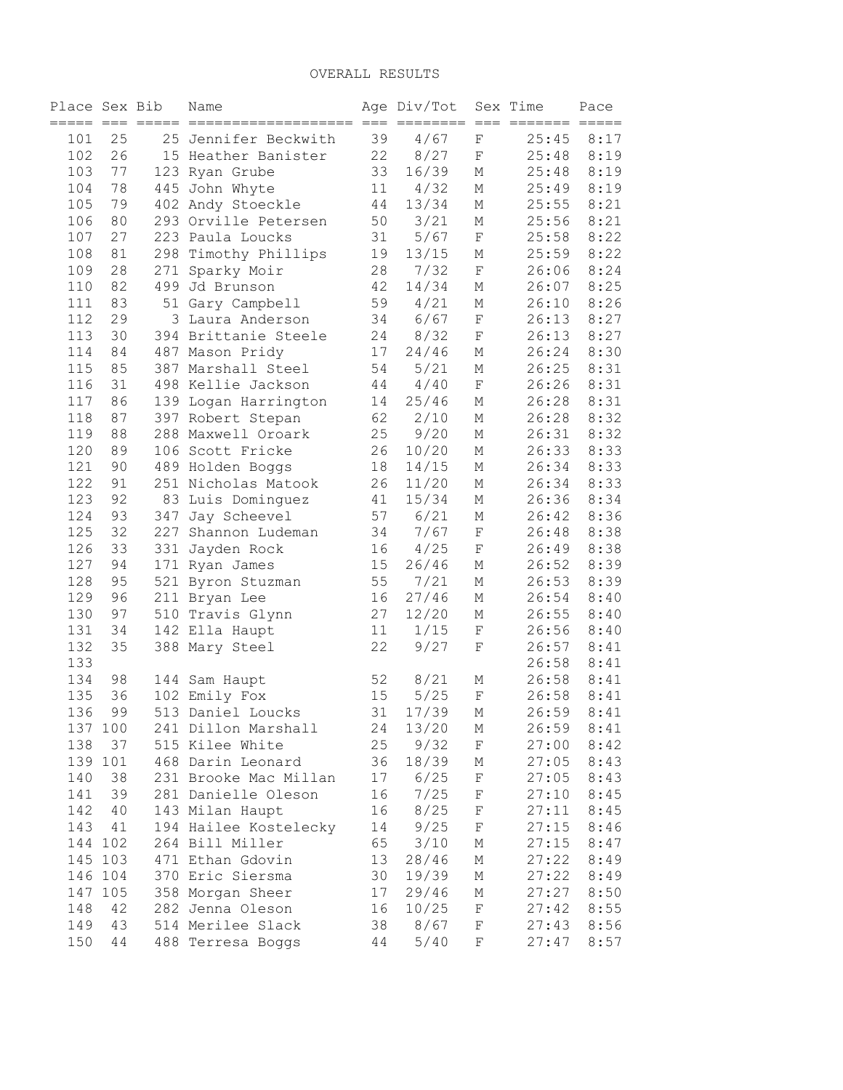| Place Sex Bib |          |            | Name                  |          | Age Div/Tot   |                  | Sex Time       | Pace         |
|---------------|----------|------------|-----------------------|----------|---------------|------------------|----------------|--------------|
| 101           | 25       |            | 25 Jennifer Beckwith  | 39       | 4/67          | $\mathbf F$      | 25:45          | 8:17         |
| 102           | 26       |            | 15 Heather Banister   | 22       | 8/27          | $\mathbf F$      | 25:48          | 8:19         |
| 103           | 77       |            | 123 Ryan Grube        | 33       | 16/39         | М                | 25:48          | 8:19         |
| 104           | 78       |            | 445 John Whyte        | 11       | 4/32          | М                | 25:49          | 8:19         |
| 105           | 79       |            | 402 Andy Stoeckle     | 44       | 13/34         | М                | 25:55          | 8:21         |
| 106           | 80       |            | 293 Orville Petersen  | 50       | 3/21          | М                | 25:56          | 8:21         |
| 107           | 27       |            | 223 Paula Loucks      | 31       | 5/67          | $\mathbf F$      | 25:58          | 8:22         |
| 108           | 81       | 298        | Timothy Phillips      | 19       | 13/15         | М                | 25:59          | 8:22         |
| 109           | 28       | 271        | Sparky Moir           | 28       | 7/32          | $\mathbf F$      | 26:06          | 8:24         |
| 110           | 82       |            | 499 Jd Brunson        | 42       | 14/34         | М                | 26:07          | 8:25         |
| 111           | 83       |            | 51 Gary Campbell      | 59       | 4/21          | М                | 26:10          | 8:26         |
| 112           | 29       |            | 3 Laura Anderson      | 34       | 6/67          | $\mathbf F$      | 26:13          | 8:27         |
| 113           | 30       |            | 394 Brittanie Steele  | 24       | 8/32          | $\mathbf F$      | 26:13          | 8:27         |
| 114           | 84       |            | 487 Mason Pridy       | 17       | 24/46         | М                | 26:24          | 8:30         |
| 115           | 85       |            | 387 Marshall Steel    | 54       | 5/21          | М                | 26:25          | 8:31         |
| 116           | 31       |            | 498 Kellie Jackson    | 44       | 4/40          | $\mathbf F$      | 26:26          | 8:31         |
| 117           | 86       |            | 139 Logan Harrington  | 14       | 25/46         | М                | 26:28          | 8:31         |
| 118           | 87       |            | 397 Robert Stepan     | 62       | 2/10          | М                | 26:28          | 8:32         |
| 119           | 88       |            | 288 Maxwell Oroark    | 25       | 9/20          | М                | 26:31          | 8:32         |
| 120           | 89       |            | 106 Scott Fricke      | 26       | 10/20         | М                | 26:33          | 8:33         |
| 121           | 90       |            | 489 Holden Boggs      | 18       | 14/15         | М                | 26:34          | 8:33         |
| 122           | 91       |            | 251 Nicholas Matook   | 26       | 11/20         | М                | 26:34          | 8:33         |
| 123           | 92       |            | 83 Luis Dominguez     | 41       | 15/34         | М                | 26:36          | 8:34         |
| 124           |          |            |                       | 57       | 6/21          |                  |                | 8:36         |
| 125           | 93<br>32 | 347<br>227 | Jay Scheevel          |          |               | М                | 26:42          |              |
|               |          |            | Shannon Ludeman       | 34       | 7/67          | $\mathbf F$      | 26:48          | 8:38         |
| 126           | 33       | 331        | Jayden Rock           | 16       | 4/25          | $\mathbf F$      | 26:49          | 8:38         |
| 127<br>128    | 94       |            | 171 Ryan James        | 15<br>55 | 26/46         | М                | 26:52<br>26:53 | 8:39<br>8:39 |
| 129           | 95<br>96 |            | 521 Byron Stuzman     | 16       | 7/21<br>27/46 | М                | 26:54          | 8:40         |
|               |          |            | 211 Bryan Lee         | 27       |               | М                |                | 8:40         |
| 130<br>131    | 97<br>34 |            | 510 Travis Glynn      |          | 12/20         | М                | 26:55          | 8:40         |
|               |          |            | 142 Ella Haupt        | 11       | 1/15          | F                | 26:56          |              |
| 132           | 35       |            | 388 Mary Steel        | 22       | 9/27          | F                | 26:57          | 8:41         |
| 133           |          |            |                       |          |               |                  | 26:58<br>26:58 | 8:41         |
| 134           | 98<br>36 |            | 144 Sam Haupt         | 52<br>15 | 8/21          | Μ<br>$\mathbf F$ |                | 8:41         |
| 135           |          |            | 102 Emily Fox         |          | 5/25          |                  | 26:58          | 8:41         |
| 136           | 99       |            | 513 Daniel Loucks     | 31       | 17/39         | М                | 26:59          | 8:41         |
| 137 100       |          |            | 241 Dillon Marshall   | 24       | 13/20         | М                | 26:59          | 8:41         |
| 138           | 37       |            | 515 Kilee White       | 25       | 9/32          | $\rm F$          | 27:00          | 8:42         |
| 139 101       |          |            | 468 Darin Leonard     | 36       | 18/39         | Μ                | 27:05          | 8:43         |
| 140           | 38       |            | 231 Brooke Mac Millan | 17       | 6/25          | F                | 27:05          | 8:43         |
| 141           | 39       |            | 281 Danielle Oleson   | 16       | 7/25          | $\rm F$          | 27:10          | 8:45         |
| 142           | 40       |            | 143 Milan Haupt       | 16       | 8/25          | $\rm F$          | 27:11          | 8:45         |
| 143           | 41       |            | 194 Hailee Kostelecky | 14       | 9/25          | $\rm F$          | 27:15          | 8:46         |
| 144           | 102      |            | 264 Bill Miller       | 65       | 3/10          | М                | 27:15          | 8:47         |
| 145           | 103      |            | 471 Ethan Gdovin      | 13       | 28/46         | М                | 27:22          | 8:49         |
| 146           | 104      |            | 370 Eric Siersma      | 30       | 19/39         | М                | 27:22          | 8:49         |
| 147           | 105      |            | 358 Morgan Sheer      | 17       | 29/46         | М                | 27:27          | 8:50         |
| 148           | 42       |            | 282 Jenna Oleson      | 16       | 10/25         | $\mathbf F$      | 27:42          | 8:55         |
| 149           | 43       |            | 514 Merilee Slack     | 38       | 8/67          | $\rm F$          | 27:43          | 8:56         |
| 150           | 44       |            | 488 Terresa Boggs     | 44       | 5/40          | F                | 27:47          | 8:57         |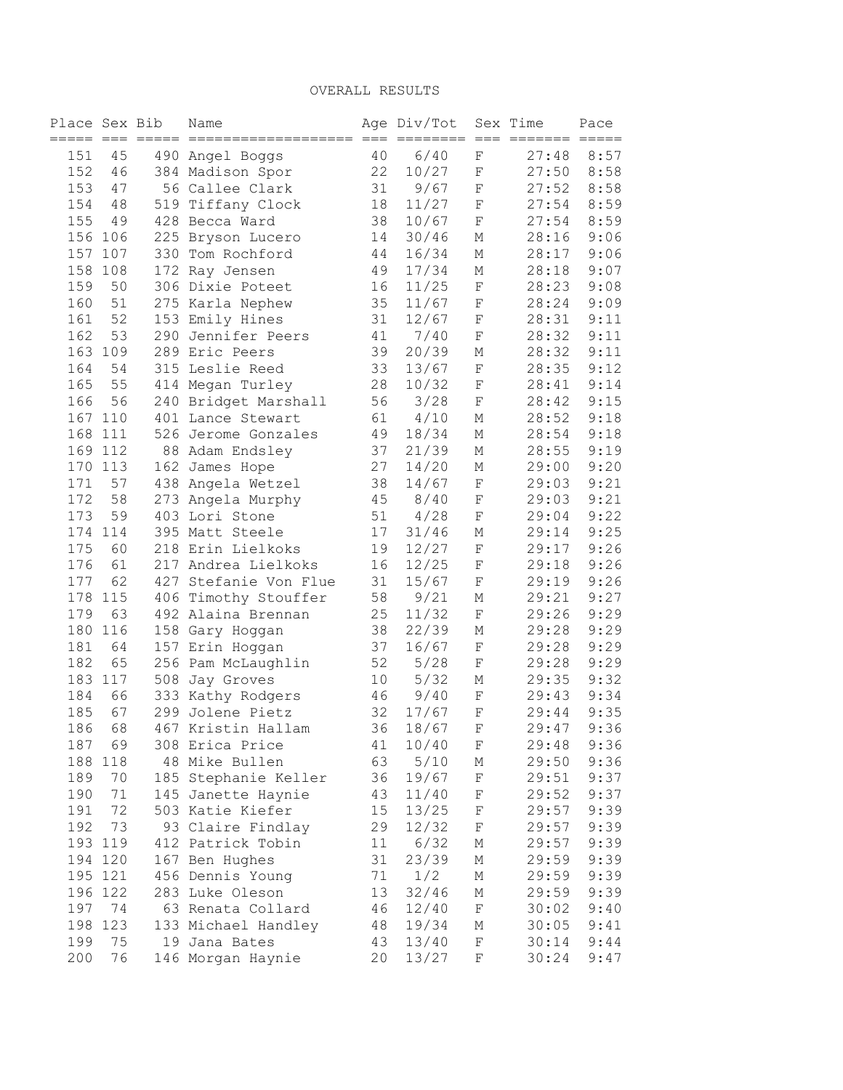| Place Sex Bib |           | ===== === ===== | Name                                        |          | Age Div/Tot<br>_____ |                  | Sex Time<br>=== === ======= | Pace                    |
|---------------|-----------|-----------------|---------------------------------------------|----------|----------------------|------------------|-----------------------------|-------------------------|
| 151           | 45        |                 | ========================<br>490 Angel Boggs | 40       | 6/40                 | F                | 27:48                       | $=$ $=$ $=$ $=$<br>8:57 |
| 152           | 46        |                 | 384 Madison Spor                            | 22       | 10/27                | F                | 27:50                       | 8:58                    |
| 153           | 47        |                 | 56 Callee Clark                             | 31       | 9/67                 | F                | 27:52                       | 8:58                    |
| 154           | 48        |                 | 519 Tiffany Clock                           | 18       | 11/27                | F                | 27:54                       | 8:59                    |
| 155           | 49        |                 | 428 Becca Ward                              | 38       | 10/67                | $\rm F$          | 27:54                       | 8:59                    |
|               | 156 106   |                 | 225 Bryson Lucero                           | 14       | 30/46                | М                | 28:16                       | 9:06                    |
| 157           | 107       |                 | 330 Tom Rochford                            | 44       | 16/34                | М                | 28:17                       | 9:06                    |
| 158           |           |                 |                                             |          | 17/34                |                  | 28:18                       | 9:07                    |
| 159           | 108<br>50 |                 | 172 Ray Jensen<br>306 Dixie Poteet          | 49<br>16 | 11/25                | М<br>$\mathbf F$ | 28:23                       | 9:08                    |
| 160           | 51        |                 |                                             | 35       | 11/67                | $\rm F$          |                             | 9:09                    |
|               | 52        |                 | 275 Karla Nephew                            |          |                      | $\rm F$          | 28:24                       |                         |
| 161           | 53        |                 | 153 Emily Hines                             | 31<br>41 | 12/67                | $\rm F$          | 28:31                       | 9:11                    |
| 162           |           |                 | 290 Jennifer Peers                          |          | 7/40                 |                  | 28:32                       | 9:11                    |
| 163           | 109       |                 | 289 Eric Peers                              | 39       | 20/39                | М                | 28:32                       | 9:11                    |
| 164           | 54        |                 | 315 Leslie Reed                             | 33       | 13/67                | $\mathbf F$      | 28:35                       | 9:12                    |
| 165           | 55        |                 | 414 Megan Turley                            | 28       | 10/32                | $\mathbf F$      | 28:41                       | 9:14                    |
| 166           | 56        |                 | 240 Bridget Marshall                        | 56       | 3/28                 | $\rm F$          | 28:42                       | 9:15                    |
|               | 167 110   |                 | 401 Lance Stewart                           | 61       | 4/10                 | М                | 28:52                       | 9:18                    |
| 168           | 111       |                 | 526 Jerome Gonzales                         | 49       | 18/34                | М                | 28:54                       | 9:18                    |
| 169           | 112       |                 | 88 Adam Endsley                             | 37       | 21/39                | М                | 28:55                       | 9:19                    |
| 170           | 113       |                 | 162 James Hope                              | 27       | 14/20                | М                | 29:00                       | 9:20                    |
| 171           | 57        |                 | 438 Angela Wetzel                           | 38       | 14/67                | $\mathbf F$      | 29:03                       | 9:21                    |
| 172           | 58        |                 | 273 Angela Murphy                           | 45       | 8/40                 | $\rm F$          | 29:03                       | 9:21                    |
| 173           | 59        |                 | 403 Lori Stone                              | 51       | 4/28                 | $\rm F$          | 29:04                       | 9:22                    |
| 174           | 114       |                 | 395 Matt Steele                             | 17       | 31/46                | М                | 29:14                       | 9:25                    |
| 175           | 60        |                 | 218 Erin Lielkoks                           | 19       | 12/27                | $\rm F$          | 29:17                       | 9:26                    |
| 176           | 61        |                 | 217 Andrea Lielkoks                         | 16       | 12/25                | $\rm F$          | 29:18                       | 9:26                    |
| 177           | 62        |                 | 427 Stefanie Von Flue                       | 31       | 15/67                | F                | 29:19                       | 9:26                    |
| 178           | 115       |                 | 406 Timothy Stouffer                        | 58       | 9/21                 | Μ                | 29:21                       | 9:27                    |
| 179           | 63        |                 | 492 Alaina Brennan                          | 25       | 11/32                | $\rm F$          | 29:26                       | 9:29                    |
| 180           | 116       |                 | 158 Gary Hoggan                             | 38       | 22/39                | Μ                | 29:28                       | 9:29                    |
| 181           | 64        |                 | 157 Erin Hoggan                             | 37       | 16/67                | F                | 29:28                       | 9:29                    |
| 182           | 65        |                 | 256 Pam McLaughlin                          | 52       | 5/28                 | F                | 29:28                       | 9:29                    |
| 183           | 117       |                 | 508 Jay Groves                              | 10       | 5/32                 | М                | 29:35                       | 9:32                    |
| 184           | 66        |                 | 333 Kathy Rodgers                           | 46       | 9/40                 | F                | 29:43                       | 9:34                    |
| 185           | 67        |                 | 299 Jolene Pietz                            | 32       | 17/67                | $\mathbf F$      | 29:44                       | 9:35                    |
| 186           | 68        |                 | 467 Kristin Hallam                          | 36       | 18/67                | $\mathbf{F}$     | 29:47                       | 9:36                    |
| 187           | 69        |                 | 308 Erica Price                             | 41       | 10/40                | $\mathbf{F}$     | 29:48                       | 9:36                    |
|               |           |                 | 188 118 48 Mike Bullen                      |          | 63 5/10 M            |                  | 29:50                       | 9:36                    |
| 189           | 70        |                 | 185 Stephanie Keller                        | 36       | 19/67 F              |                  | 29:51                       | 9:37                    |
| 190           | 71        |                 | 145 Janette Haynie                          | 43       | 11/40 F              |                  | 29:52                       | 9:37                    |
| 191           | 72        |                 | 503 Katie Kiefer                            | 15       | $13/25$ F            |                  | 29:57                       | 9:39                    |
| 192           | 73        |                 | 93 Claire Findlay                           | 29       | $12/32$ F            |                  | 29:57                       | 9:39                    |
|               | 193 119   |                 | 412 Patrick Tobin                           |          | 11 6/32 M            |                  | 29:57                       | 9:39                    |
|               | 194 120   |                 | 167 Ben Hughes                              | 31       | 23/39                | М                | 29:59                       | 9:39                    |
|               | 195 121   |                 | 456 Dennis Young                            |          | $71 \t1/2$           | $\mathbb M$      | 29:59                       | 9:39                    |
|               | 196 122   |                 | 283 Luke Oleson                             | 13       | 32/46                | M                | 29:59                       | 9:39                    |
| 197           | 74        |                 | 63 Renata Collard                           | 46       | 12/40 F              |                  | 30:02                       | 9:40                    |
|               | 198 123   |                 | 133 Michael Handley 48                      |          | 19/34 M              |                  | 30:05                       | 9:41                    |
| 199           | 75        |                 | 19 Jana Bates                               | 43       | 13/40 F              |                  | 30:14                       | 9:44                    |
| 200           | 76        |                 | 146 Morgan Haynie                           | 20       | $13/27$ F            |                  | 30:24                       | 9:47                    |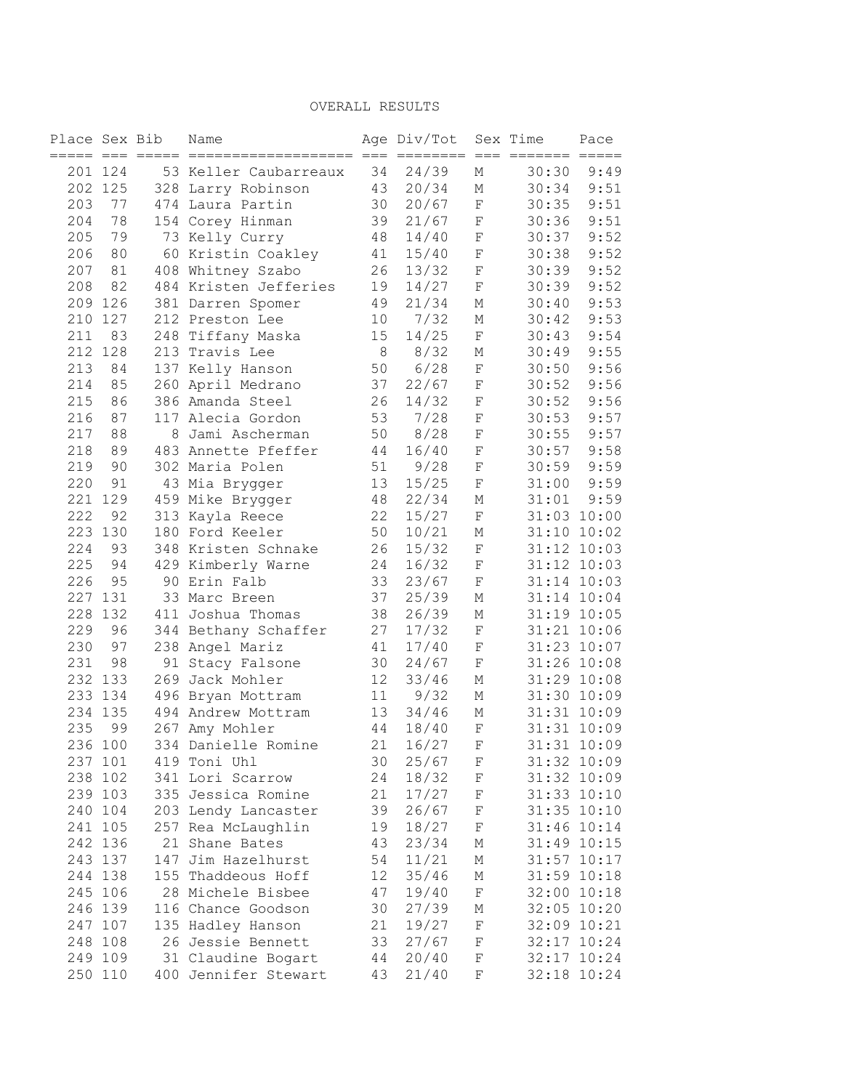| Place Sex Bib |         | Name                  |    | Age Div/Tot |              | Sex Time | Pace            |
|---------------|---------|-----------------------|----|-------------|--------------|----------|-----------------|
|               | 201 124 | 53 Keller Caubarreaux | 34 | 24/39       | М            | 30:30    | 9:49            |
|               | 202 125 | 328 Larry Robinson    | 43 | 20/34       | М            | 30:34    | 9:51            |
| 203           | 77      | 474 Laura Partin      | 30 | 20/67       | F            | 30:35    | 9:51            |
| 204           | 78      | 154 Corey Hinman      | 39 | 21/67       | F            | 30:36    | 9:51            |
| 205           | 79      | 73 Kelly Curry        | 48 | 14/40       | F            | 30:37    | 9:52            |
| 206           | 80      | 60 Kristin Coakley    | 41 | 15/40       | $\mathbf F$  | 30:38    | 9:52            |
| 207           | 81      | 408 Whitney Szabo     | 26 | 13/32       | $\mathbf F$  | 30:39    | 9:52            |
| 208           | 82      | 484 Kristen Jefferies | 19 | 14/27       | F            | 30:39    | 9:52            |
|               | 209 126 | 381 Darren Spomer     | 49 | 21/34       | М            | 30:40    | 9:53            |
| 210           | 127     | 212 Preston Lee       | 10 | 7/32        | М            | 30:42    | 9:53            |
| 211           | 83      | 248 Tiffany Maska     | 15 | 14/25       | F            | 30:43    | 9:54            |
| 212           | 128     | 213 Travis Lee        | 8  | 8/32        | Μ            | 30:49    | 9:55            |
| 213           | 84      | 137 Kelly Hanson      | 50 | 6/28        | $\mathbf F$  | 30:50    | 9:56            |
| 214           | 85      | 260 April Medrano     | 37 | 22/67       | F            | 30:52    | 9:56            |
| 215           | 86      | 386 Amanda Steel      | 26 | 14/32       | F            | 30:52    | 9:56            |
| 216           | 87      | 117 Alecia Gordon     | 53 | 7/28        | F            | 30:53    | 9:57            |
| 217           | 88      | 8 Jami Ascherman      | 50 | 8/28        | $\rm F$      | 30:55    | 9:57            |
| 218           | 89      | 483 Annette Pfeffer   | 44 | 16/40       | $\mathbf F$  | 30:57    | 9:58            |
| 219           | 90      | 302 Maria Polen       | 51 | 9/28        | $\rm F$      | 30:59    | 9:59            |
| 220           | 91      | 43 Mia Brygger        | 13 | 15/25       | $\rm F$      | 31:00    | 9:59            |
|               | 221 129 | 459 Mike Brygger      | 48 | 22/34       | М            | 31:01    | 9:59            |
| 222           | 92      | 313 Kayla Reece       | 22 | 15/27       | $\rm F$      |          | 31:03 10:00     |
|               | 223 130 | 180 Ford Keeler       | 50 | 10/21       | М            |          | 31:10 10:02     |
| 224           | 93      | 348 Kristen Schnake   | 26 | 15/32       | $\rm F$      |          | 31:12 10:03     |
| 225           | 94      | 429 Kimberly Warne    | 24 | 16/32       | $\rm F$      |          | 31:12 10:03     |
| 226           | 95      | 90 Erin Falb          | 33 | 23/67       | $\rm F$      |          | 31:14 10:03     |
|               | 227 131 | 33 Marc Breen         | 37 | 25/39       | М            |          | 31:14 10:04     |
| 228           | 132     | 411 Joshua Thomas     | 38 | 26/39       | М            |          | 31:19 10:05     |
| 229           | 96      | 344 Bethany Schaffer  | 27 | 17/32       | $\rm F$      |          | 31:21 10:06     |
| 230           | 97      | 238 Angel Mariz       | 41 | 17/40       | $\rm F$      |          | 31:23 10:07     |
| 231           | 98      | 91 Stacy Falsone      | 30 | 24/67       | $\rm F$      |          | 31:26 10:08     |
|               | 232 133 | 269 Jack Mohler       | 12 | 33/46       | М            |          | 31:29 10:08     |
|               | 233 134 | 496 Bryan Mottram     | 11 | 9/32        | М            |          | 31:30 10:09     |
| 234           | 135     | 494 Andrew Mottram    | 13 | 34/46       | М            |          | 31:31 10:09     |
| 235           | 99      | 267 Amy Mohler        | 44 | 18/40       | $\mathbf F$  |          | 31:31 10:09     |
|               | 236 100 | 334 Danielle Romine   |    | 21 16/27    | $\mathbf F$  |          | 31:31 10:09     |
|               | 237 101 | 419 Toni Uhl          | 30 | 25/67       | F            |          | 31:32 10:09     |
|               | 238 102 | 341 Lori Scarrow      | 24 | 18/32       | F            |          | 31:32 10:09     |
|               | 239 103 | 335 Jessica Romine    | 21 | 17/27       | $\mathbf{F}$ |          | 31:33 10:10     |
|               | 240 104 | 203 Lendy Lancaster   | 39 | 26/67       | F            |          | 31:35 10:10     |
|               | 241 105 | 257 Rea McLaughlin    | 19 | 18/27       | $\mathbf F$  |          | 31:46 10:14     |
|               | 242 136 | 21 Shane Bates        | 43 | 23/34       | М            |          | 31:49 10:15     |
|               | 243 137 | 147 Jim Hazelhurst    | 54 | 11/21       | М            |          | $31:57$ $10:17$ |
|               | 244 138 | 155 Thaddeous Hoff    | 12 | 35/46       | М            |          | 31:59 10:18     |
|               | 245 106 | 28 Michele Bisbee     | 47 | 19/40       | $\rm F$      |          | 32:00 10:18     |
|               | 246 139 | 116 Chance Goodson    | 30 | 27/39       | М            |          | 32:05 10:20     |
|               | 247 107 | 135 Hadley Hanson     | 21 | 19/27       | $_{\rm F}$   |          | 32:09 10:21     |
|               | 248 108 | 26 Jessie Bennett     | 33 | 27/67       | $\mathbf{F}$ |          | 32:17 10:24     |
|               | 249 109 | 31 Claudine Bogart 44 |    | 20/40       | $\mathbf{F}$ |          | 32:17 10:24     |
|               | 250 110 | 400 Jennifer Stewart  | 43 | 21/40       | F            |          | 32:18 10:24     |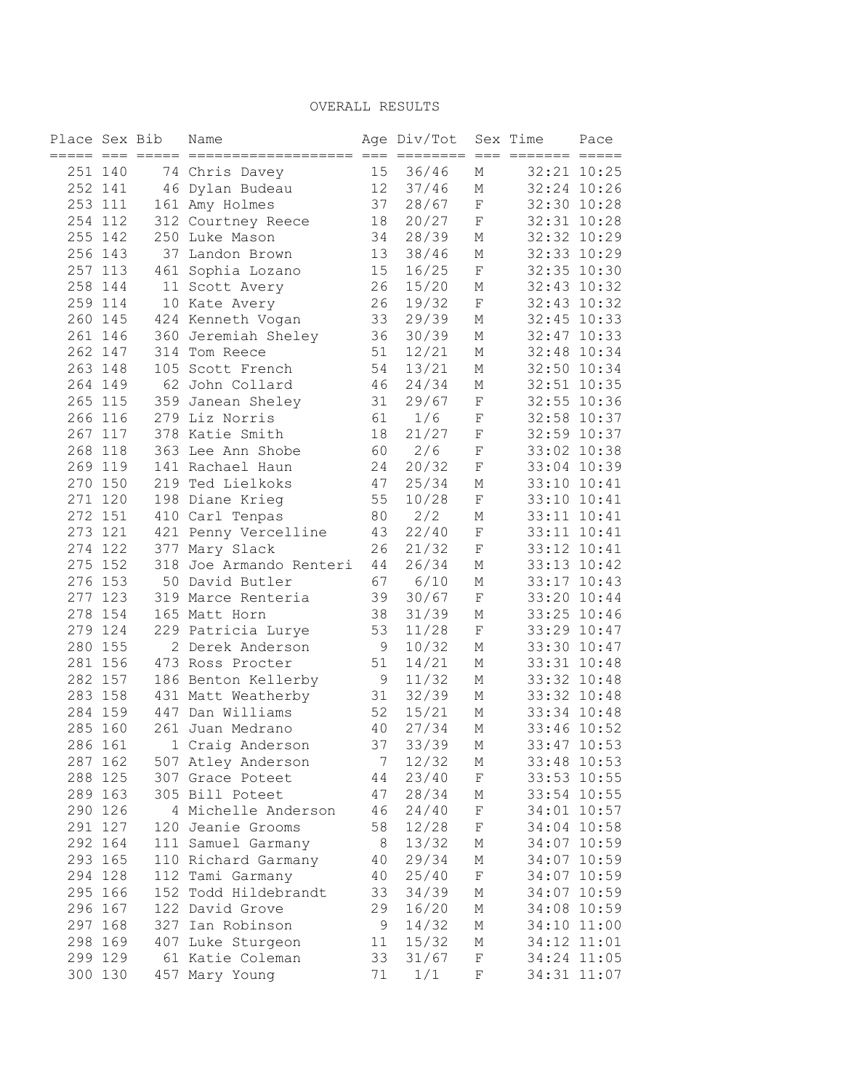| Place Sex Bib |         |     | Name                    |                   | Age Div/Tot |              | Sex Time    | Pace        |
|---------------|---------|-----|-------------------------|-------------------|-------------|--------------|-------------|-------------|
| 251 140       |         |     | 74 Chris Davey          | 15                | 36/46       | М            |             | 32:21 10:25 |
|               | 252 141 |     | 46 Dylan Budeau         | $12 \overline{ }$ | 37/46       | Μ            |             | 32:24 10:26 |
|               | 253 111 |     | 161 Amy Holmes          | 37                | 28/67       | F            |             | 32:30 10:28 |
|               | 254 112 |     | 312 Courtney Reece      | 18                | 20/27       | F            | 32:31 10:28 |             |
|               | 255 142 |     | 250 Luke Mason          | 34                | 28/39       | М            |             | 32:32 10:29 |
|               | 256 143 | 37  | Landon Brown            | 13                | 38/46       | М            |             | 32:33 10:29 |
|               | 257 113 | 461 | Sophia Lozano           | 15                | 16/25       | $\rm F$      | 32:35 10:30 |             |
|               | 258 144 |     | 11 Scott Avery          | 26                | 15/20       | М            |             | 32:43 10:32 |
|               | 259 114 |     | 10 Kate Avery           | 26                | 19/32       | F            |             | 32:43 10:32 |
|               | 260 145 |     | 424 Kenneth Vogan       | 33                | 29/39       | М            |             | 32:45 10:33 |
|               | 261 146 |     | 360 Jeremiah Sheley     | 36                | 30/39       | М            |             | 32:47 10:33 |
|               | 262 147 |     | 314 Tom Reece           | 51                | 12/21       | М            | 32:48 10:34 |             |
|               | 263 148 |     | 105 Scott French        | 54                | 13/21       | М            | 32:50 10:34 |             |
|               | 264 149 |     | 62 John Collard         | 46                | 24/34       | Μ            |             | 32:51 10:35 |
|               | 265 115 |     | 359 Janean Sheley       | 31                | 29/67       | F            |             | 32:55 10:36 |
|               | 266 116 |     | 279 Liz Norris          | 61                | 1/6         | F            |             | 32:58 10:37 |
|               | 267 117 |     | 378 Katie Smith         | 18                | 21/27       | F            |             | 32:59 10:37 |
|               | 268 118 |     | 363 Lee Ann Shobe       | 60                | 2/6         | $\mathbf F$  |             | 33:02 10:38 |
|               | 269 119 |     | 141 Rachael Haun        | 24                | 20/32       | F            |             | 33:04 10:39 |
|               | 270 150 |     | 219 Ted Lielkoks        | 47                | 25/34       | М            |             | 33:10 10:41 |
|               | 271 120 |     | 198 Diane Krieg         | 55                | 10/28       | $\mathbf F$  |             | 33:10 10:41 |
|               | 272 151 |     | 410 Carl Tenpas         | 80                | 2/2         | М            |             | 33:11 10:41 |
|               | 273 121 |     | 421 Penny Vercelline    | 43                | 22/40       | F            |             | 33:11 10:41 |
|               | 274 122 |     | 377 Mary Slack          | 26                | 21/32       | $\mathbf F$  |             | 33:12 10:41 |
|               | 275 152 |     | 318 Joe Armando Renteri | 44                | 26/34       | М            |             | 33:13 10:42 |
|               | 276 153 |     | 50 David Butler         | 67                | 6/10        | М            |             | 33:17 10:43 |
|               | 277 123 |     | 319 Marce Renteria      | 39                | 30/67       | F            |             | 33:20 10:44 |
|               | 278 154 |     | 165 Matt Horn           | 38                | 31/39       | Μ            |             | 33:25 10:46 |
|               | 279 124 |     | 229 Patricia Lurye      | 53                | 11/28       | $\mathbf F$  |             | 33:29 10:47 |
|               | 280 155 |     | 2 Derek Anderson        | 9                 | 10/32       | Μ            |             | 33:30 10:47 |
|               | 281 156 |     | 473 Ross Procter        | 51                | 14/21       | М            |             | 33:31 10:48 |
|               | 282 157 |     | 186 Benton Kellerby     | 9                 | 11/32       | Μ            |             | 33:32 10:48 |
|               | 283 158 |     | 431 Matt Weatherby      | 31                | 32/39       | Μ            |             | 33:32 10:48 |
|               | 284 159 |     | 447 Dan Williams        | 52                | 15/21       | Μ            |             | 33:34 10:48 |
| 285 160       |         |     | 261 Juan Medrano        | 40                | 27/34       | М            |             | 33:46 10:52 |
|               | 286 161 |     | 1 Craig Anderson        | 37                | 33/39       | $\mathbb M$  |             | 33:47 10:53 |
|               | 287 162 |     | 507 Atley Anderson      | 7                 | 12/32       | М            |             | 33:48 10:53 |
|               | 288 125 |     | 307 Grace Poteet        | 44                | 23/40       | $\mathbf{F}$ |             | 33:53 10:55 |
|               | 289 163 |     | 305 Bill Poteet         | 47                | 28/34       | М            |             | 33:54 10:55 |
|               | 290 126 |     | 4 Michelle Anderson     | 46                | 24/40       | $_{\rm F}$   |             | 34:01 10:57 |
|               | 291 127 |     | 120 Jeanie Grooms       | 58                | 12/28       | F            |             | 34:04 10:58 |
|               | 292 164 |     | 111 Samuel Garmany      | 8 <sup>8</sup>    | 13/32       | М            |             | 34:07 10:59 |
|               | 293 165 |     | 110 Richard Garmany     | 40                | 29/34       | М            |             | 34:07 10:59 |
|               | 294 128 |     | 112 Tami Garmany        | 40                | 25/40       | $\rm F$      |             | 34:07 10:59 |
|               | 295 166 |     | 152 Todd Hildebrandt    | 33                | 34/39       | М            |             | 34:07 10:59 |
|               | 296 167 |     | 122 David Grove         | 29                | 16/20       | М            |             | 34:08 10:59 |
|               | 297 168 |     | 327 Ian Robinson        | 9                 | 14/32       | М            |             | 34:10 11:00 |
|               | 298 169 |     | 407 Luke Sturgeon       | 11                | 15/32       | М            |             | 34:12 11:01 |
|               | 299 129 |     | 61 Katie Coleman        | 33                | 31/67       | $_{\rm F}$   |             | 34:24 11:05 |
|               | 300 130 |     | 457 Mary Young          | 71                | 1/1         | F            |             | 34:31 11:07 |
|               |         |     |                         |                   |             |              |             |             |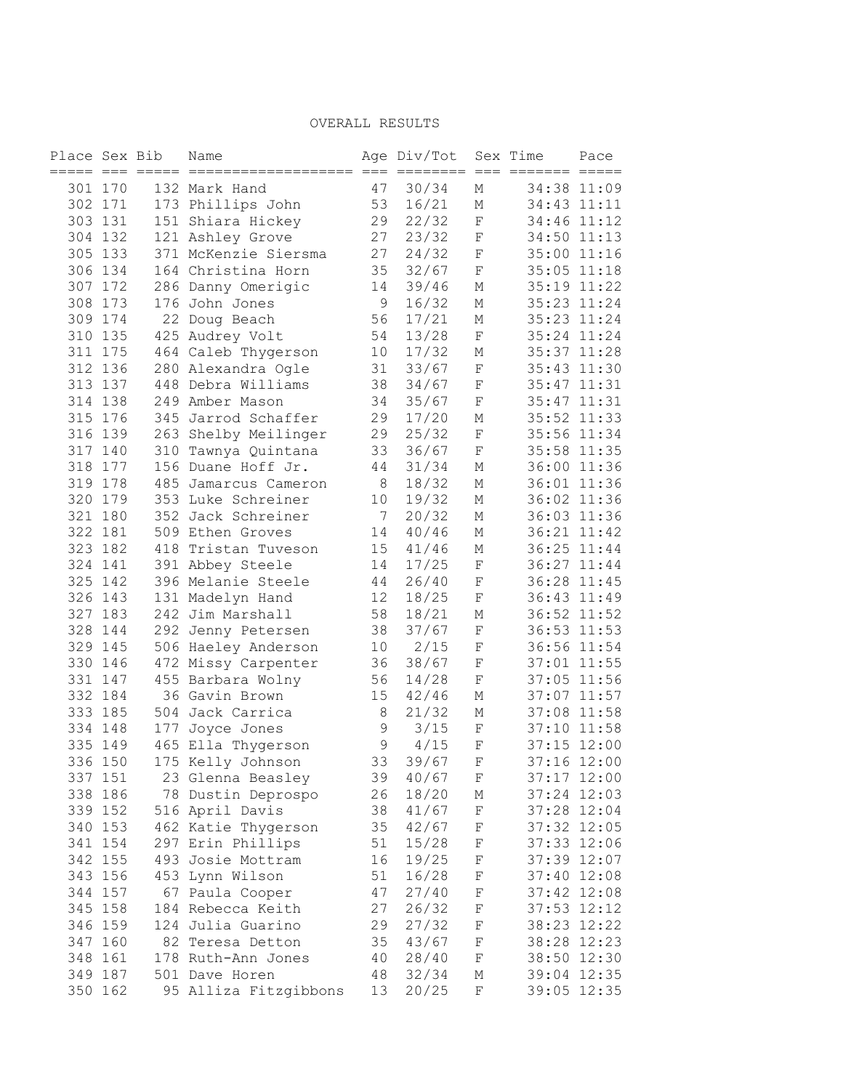| Place Sex Bib      |         |     | Name                                    |    | Age Div/Tot |             | Sex Time    | Pace        |
|--------------------|---------|-----|-----------------------------------------|----|-------------|-------------|-------------|-------------|
|                    |         |     | ===== === ===== =======                 |    |             |             |             | $=====$     |
|                    | 301 170 |     | 132 Mark Hand                           | 47 | 30/34       | М           |             | 34:38 11:09 |
|                    | 302 171 |     | 173 Phillips John                       | 53 | 16/21       | М           |             | 34:43 11:11 |
|                    | 303 131 |     | 151 Shiara Hickey                       | 29 | 22/32       | $\mathbf F$ |             | 34:46 11:12 |
|                    | 304 132 |     | 121 Ashley Grove                        | 27 | 23/32       | $\mathbf F$ |             | 34:50 11:13 |
|                    | 305 133 |     | 371 McKenzie Siersma                    | 27 | 24/32       | $\mathbf F$ |             | 35:00 11:16 |
|                    | 306 134 |     | 164 Christina Horn                      | 35 | 32/67       | $\mathbf F$ |             | 35:05 11:18 |
|                    | 307 172 |     | 286 Danny Omerigic                      | 14 | 39/46       | М           |             | 35:19 11:22 |
|                    | 308 173 |     | 176 John Jones                          | 9  | 16/32       | М           |             | 35:23 11:24 |
|                    | 309 174 |     | 22 Doug Beach                           | 56 | 17/21       | М           |             | 35:23 11:24 |
|                    | 310 135 |     | 425 Audrey Volt                         | 54 | 13/28       | $\mathbf F$ |             | 35:24 11:24 |
|                    | 311 175 |     | 464 Caleb Thygerson                     | 10 | 17/32       | М           |             | 35:37 11:28 |
|                    | 312 136 |     | 280 Alexandra Ogle                      | 31 | 33/67       | $\mathbf F$ |             | 35:43 11:30 |
|                    | 313 137 |     | 448 Debra Williams                      | 38 | 34/67       | $\rm F$     |             | 35:47 11:31 |
|                    | 314 138 |     | 249 Amber Mason                         | 34 | 35/67       | F           |             | 35:47 11:31 |
|                    | 315 176 |     | 345 Jarrod Schaffer                     | 29 | 17/20       | М           |             | 35:52 11:33 |
|                    | 316 139 |     | 263 Shelby Meilinger                    | 29 | 25/32       | $\mathbf F$ |             | 35:56 11:34 |
|                    | 317 140 |     | 310 Tawnya Quintana                     | 33 | 36/67       | $\rm F$     |             | 35:58 11:35 |
| 318                | 177     |     | 156 Duane Hoff Jr.                      | 44 | 31/34       | М           |             | 36:00 11:36 |
|                    | 319 178 |     | 485 Jamarcus Cameron                    | 8  | 18/32       | М           |             | 36:01 11:36 |
|                    | 320 179 |     | 353 Luke Schreiner                      | 10 | 19/32       | М           |             | 36:02 11:36 |
|                    | 321 180 |     | 352 Jack Schreiner                      | 7  | 20/32       | М           |             | 36:03 11:36 |
|                    | 322 181 |     | 509 Ethen Groves                        | 14 | 40/46       | М           |             | 36:21 11:42 |
|                    | 323 182 |     | 418 Tristan Tuveson                     | 15 | 41/46       | М           |             | 36:25 11:44 |
|                    | 324 141 |     | 391 Abbey Steele                        | 14 | 17/25       | $\mathbf F$ |             | 36:27 11:44 |
|                    | 325 142 |     | 396 Melanie Steele                      | 44 | 26/40       | F           |             | 36:28 11:45 |
|                    | 326 143 |     | 131 Madelyn Hand                        | 12 | 18/25       | $\mathbf F$ |             | 36:43 11:49 |
|                    | 327 183 |     | 242 Jim Marshall                        | 58 | 18/21       | Μ           |             | 36:52 11:52 |
|                    | 328 144 |     | 292 Jenny Petersen                      | 38 | 37/67       | F           |             | 36:53 11:53 |
|                    | 329 145 |     | 506 Haeley Anderson                     | 10 | 2/15        | $\rm F$     |             | 36:56 11:54 |
|                    | 330 146 |     | 472 Missy Carpenter                     | 36 | 38/67       | $\rm F$     |             | 37:01 11:55 |
|                    | 331 147 |     | 455 Barbara Wolny                       | 56 | 14/28       | $\mathbf F$ |             | 37:05 11:56 |
|                    | 332 184 |     | 36 Gavin Brown                          | 15 | 42/46       | М           |             | 37:07 11:57 |
|                    | 333 185 |     | 504 Jack Carrica                        | 8  | 21/32       | М           |             | 37:08 11:58 |
|                    | 334 148 |     | 177 Joyce Jones                         | 9  | 3/15        | $\mathbf F$ |             | 37:10 11:58 |
|                    | 335 149 |     | 465 Ella Thygerson                      | 9  | 4/15        | $\mathbf F$ |             | 37:15 12:00 |
| 336 150            |         |     | 175 Kelly Johnson                       | 33 | 39/67       | F           |             | 37:16 12:00 |
| 337 151            |         |     |                                         | 39 | 40/67       | F           |             | 37:17 12:00 |
|                    | 338 186 |     | 23 Glenna Beasley<br>78 Dustin Deprospo | 26 | 18/20       | Μ           |             | 37:24 12:03 |
|                    | 339 152 |     | 516 April Davis                         | 38 | 41/67       | F           | 37:28 12:04 |             |
|                    | 340 153 |     | 462 Katie Thygerson                     | 35 | 42/67       | F           | 37:32 12:05 |             |
|                    |         |     | 297 Erin Phillips                       |    |             |             |             | 12:06       |
|                    | 341 154 |     |                                         | 51 | 15/28       | F           | 37:33       |             |
| 342 155<br>343 156 |         |     | 493 Josie Mottram                       | 16 | 19/25       | F           | 37:39 12:07 |             |
|                    |         | 453 | Lynn Wilson                             | 51 | 16/28       | F           | 37:40       | 12:08       |
| 344 157            |         | 67  | Paula Cooper                            | 47 | 27/40       | F           |             | 37:42 12:08 |
| 345 158            |         |     | 184 Rebecca Keith                       | 27 | 26/32       | F           | 37:53       | 12:12       |
| 346 159            |         |     | 124 Julia Guarino                       | 29 | 27/32       | F           | 38:23 12:22 |             |
| 347 160            |         | 82  | Teresa Detton                           | 35 | 43/67       | F           | 38:28       | 12:23       |
| 348 161            |         |     | 178 Ruth-Ann Jones                      | 40 | 28/40       | $\mathbf F$ | 38:50       | 12:30       |
| 349 187            |         |     | 501 Dave Horen                          | 48 | 32/34       | М           | 39:04 12:35 |             |
| 350 162            |         |     | 95 Alliza Fitzgibbons                   | 13 | 20/25       | $\rm F$     |             | 39:05 12:35 |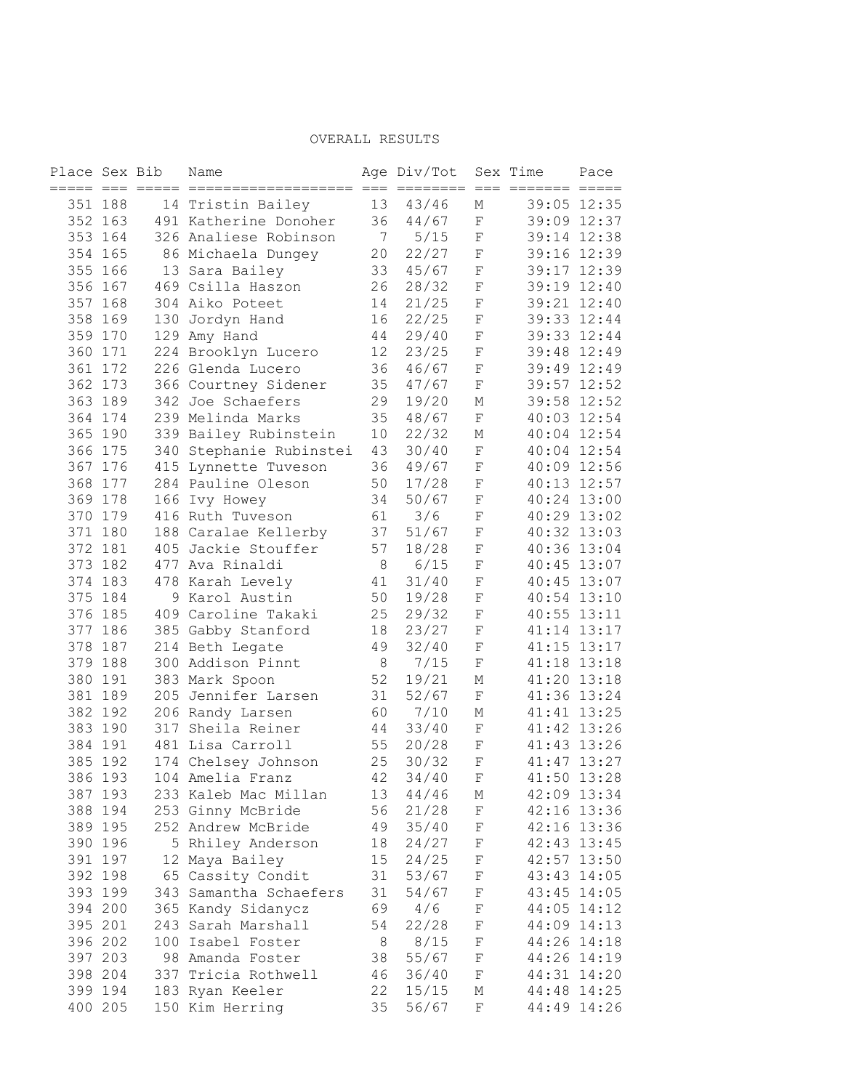| Place Sex Bib |                    | Name                                |          | Age Div/Tot     |                            | Sex Time | Pace                       |
|---------------|--------------------|-------------------------------------|----------|-----------------|----------------------------|----------|----------------------------|
|               |                    |                                     | $==$     | ========        |                            |          |                            |
|               | 351 188            | 14 Tristin Bailey                   | 13       | 43/46           | М                          |          | 39:05 12:35                |
|               | 352 163            | 491 Katherine Donoher               | 36       | 44/67           | $\mathbf F$                |          | 39:09 12:37                |
|               | 353 164<br>354 165 | 326 Analiese Robinson               | 7        | $5/15$<br>22/27 | $\mathbf F$<br>$\mathbf F$ |          | 39:14 12:38                |
|               | 355 166            | 86 Michaela Dungey                  | 20<br>33 | 45/67           | $\mathbf F$                |          | 39:16 12:39<br>39:17 12:39 |
|               | 356 167            | 13 Sara Bailey<br>469 Csilla Haszon | 26       | 28/32           | $\mathbf F$                |          | 39:19 12:40                |
|               | 357 168            | 304 Aiko Poteet                     | 14       | 21/25           | $\rm F$                    |          | 39:21 12:40                |
| 358           | 169                | 130 Jordyn Hand                     | 16       | 22/25           | $\mathbf F$                |          | 39:33 12:44                |
| 359 170       |                    | 129 Amy Hand                        | 44       | 29/40           | $\mathbf F$                |          | 39:33 12:44                |
|               | 360 171            | 224 Brooklyn Lucero                 | 12       | 23/25           | $\mathbf F$                |          | 39:48 12:49                |
|               | 361 172            | 226 Glenda Lucero                   | 36       | 46/67           | $\mathbf F$                |          | 39:49 12:49                |
|               | 362 173            | 366 Courtney Sidener                | 35       | 47/67           | $\mathbf F$                |          | 39:57 12:52                |
|               | 363 189            | 342 Joe Schaefers                   | 29       | 19/20           | М                          |          | 39:58 12:52                |
|               | 364 174            | 239 Melinda Marks                   | 35       | 48/67           | $\mathbf F$                |          | 40:03 12:54                |
|               | 365 190            | 339 Bailey Rubinstein               | 10       | 22/32           | М                          |          | 40:04 12:54                |
|               | 366 175            | 340 Stephanie Rubinstei             | 43       | 30/40           | $\mathbf F$                |          | 40:04 12:54                |
|               | 367 176            | 415 Lynnette Tuveson                | 36       | 49/67           | $\mathbf F$                |          | 40:09 12:56                |
|               | 368 177            | 284 Pauline Oleson                  | 50       | 17/28           | $\mathbf F$                |          | 40:13 12:57                |
|               | 369 178            | 166 Ivy Howey                       | 34       | 50/67           | $\mathbf F$                |          | 40:24 13:00                |
|               | 370 179            | 416 Ruth Tuveson                    | 61       | 3/6             | $\mathbf F$                |          | 40:29 13:02                |
|               | 371 180            | 188 Caralae Kellerby                | 37       | 51/67           | $\mathbf F$                |          | 40:32 13:03                |
|               | 372 181            | 405 Jackie Stouffer                 | 57       | 18/28           | $\mathbf F$                |          | 40:36 13:04                |
|               | 373 182            | 477 Ava Rinaldi                     | $\,8\,$  | $6/15$          | $\mathbf F$                |          | 40:45 13:07                |
|               | 374 183            | 478 Karah Levely                    |          | 31/40           | $\mathbf F$                |          | 40:45 13:07                |
|               | 375 184            | 9 Karol Austin                      | 41<br>50 | 19/28           | $\mathbf F$                |          | 40:54 13:10                |
|               | 376 185            | 409 Caroline Takaki                 | 25       | 29/32           | $\mathbf F$                |          | $40:55$ $13:11$            |
|               | 377 186            | 385 Gabby Stanford                  | 18       | 23/27           | $\mathbf F$                |          | 41:14 13:17                |
|               | 378 187            | 214 Beth Legate                     | 49       | 32/40           | $\mathbf F$                |          | 41:15 13:17                |
| 379 188       |                    | 300 Addison Pinnt                   | $\,8\,$  | 7/15            | $\mathbf F$                |          | 41:18 13:18                |
|               | 380 191            | 383 Mark Spoon                      | 52       | 19/21           | М                          |          | 41:20 13:18                |
|               | 381 189            | 205 Jennifer Larsen                 | 31       | 52/67           | $\mathbf F$                |          | 41:36 13:24                |
|               | 382 192            | 206 Randy Larsen                    | 60       | 7/10            | М                          |          | 41:41 13:25                |
|               | 383 190            | 317 Sheila Reiner                   | 44       | 33/40           | $\mathbf F$                |          | 41:42 13:26                |
| 384 191       |                    | 481 Lisa Carroll                    | 55       | 20/28           | $\mathbf F$                |          | 41:43 13:26                |
| 385 192       |                    | 174 Chelsey Johnson                 | 25       | 30/32           | $\mathbf F$                |          | 41:47 13:27                |
| 386 193       |                    | 104 Amelia Franz                    | 42       | 34/40           | F                          | 41:50    | 13:28                      |
| 387 193       |                    | 233 Kaleb Mac Millan                | 13       | 44/46           | М                          |          | 42:09 13:34                |
|               | 388 194            | 253 Ginny McBride                   | 56       | 21/28           | F                          |          | 42:16 13:36                |
|               | 389 195            | 252 Andrew McBride                  | 49       | 35/40           | $\mathbf F$                |          | 42:16 13:36                |
|               | 390 196            | 5 Rhiley Anderson                   | 18       | 24/27           | $\rm F$                    |          | 42:43 13:45                |
|               | 391 197            | 12 Maya Bailey                      | 15       | 24/25           | F                          |          | 42:57 13:50                |
| 392 198       |                    | 65 Cassity Condit                   | 31       | 53/67           | $\rm F$                    |          | 43:43 14:05                |
|               | 393 199            | 343 Samantha Schaefers              | 31       | 54/67           | F                          |          | 43:45 14:05                |
| 394 200       |                    | 365 Kandy Sidanycz                  | 69       | 4/6             | F                          |          | 44:05 14:12                |
| 395 201       |                    | 243 Sarah Marshall                  | 54       | 22/28           | $\rm F$                    |          | 44:09 14:13                |
| 396 202       |                    | 100 Isabel Foster                   | $\,8\,$  | 8/15            | F                          |          | 44:26 14:18                |
|               | 397 203            | 98 Amanda Foster                    | 38       | 55/67           | F                          |          | 44:26 14:19                |
|               | 398 204            | 337 Tricia Rothwell                 | 46       | 36/40           | $\rm F$                    |          | 44:31 14:20                |
| 399 194       |                    | 183 Ryan Keeler                     | 22       | 15/15           | М                          |          | 44:48 14:25                |
| 400 205       |                    | 150 Kim Herring                     | 35       | 56/67           | $\mathbf F$                |          | 44:49 14:26                |
|               |                    |                                     |          |                 |                            |          |                            |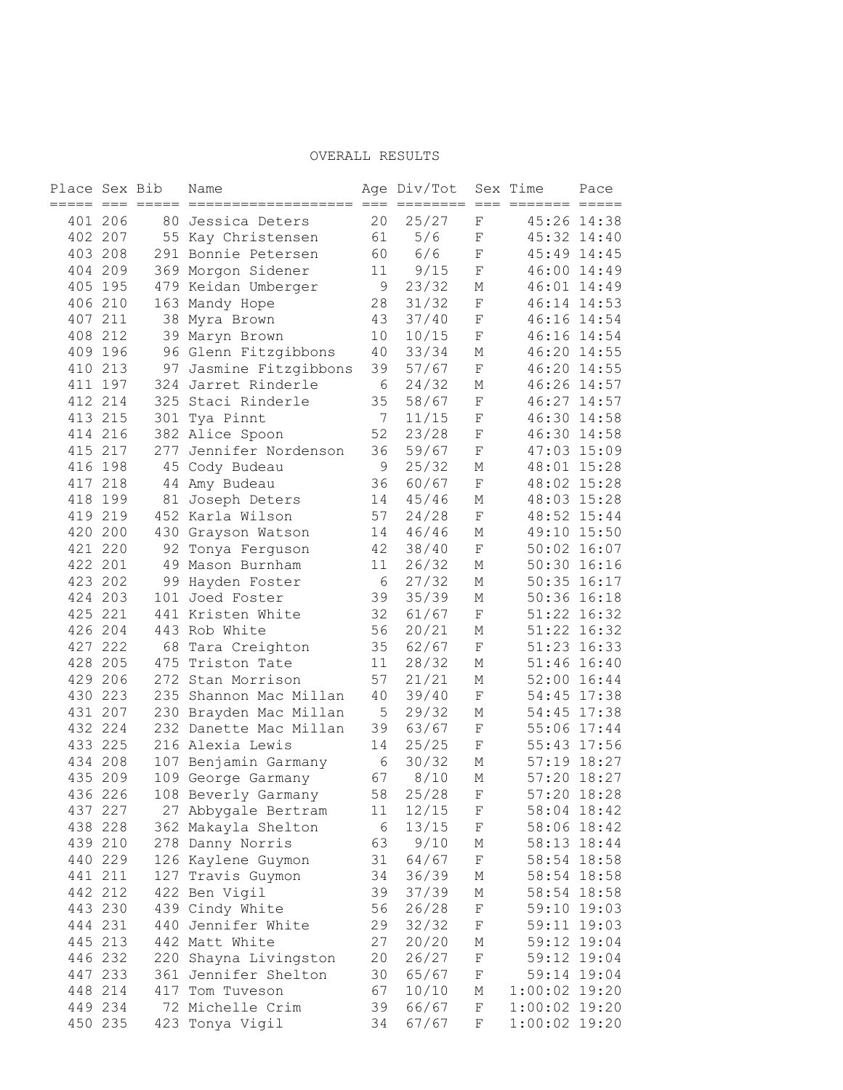| Place Sex Bib |         |     | Name                                       |             | Age Div/Tot      |                        | Sex Time        | Pace                       |
|---------------|---------|-----|--------------------------------------------|-------------|------------------|------------------------|-----------------|----------------------------|
|               | 401 206 |     | 80 Jessica Deters                          | 20          | $== ==$<br>25/27 | $=$<br>$=$<br>F        |                 | 45:26 14:38                |
|               | 402 207 |     | 55 Kay Christensen                         | 61          | 5/6              | F                      |                 | 45:32 14:40                |
|               | 403 208 |     | 291 Bonnie Petersen                        | 60          | 6/6              | $\rm F$                |                 | 45:49 14:45                |
|               | 404 209 |     | 369 Morgon Sidener                         | 11          | 9/15             | $\mathbf F$            |                 | 46:00 14:49                |
|               | 405 195 |     | 479 Keidan Umberger                        | 9           | 23/32            | М                      |                 | 46:01 14:49                |
|               | 406 210 |     | 163 Mandy Hope                             | 28          | 31/32            | $\mathbf F$            |                 | 46:14 14:53                |
|               | 407 211 |     | 38 Myra Brown                              | 43          | 37/40            | $\mathbf F$            |                 | 46:16 14:54                |
|               | 408 212 |     | 39 Maryn Brown                             | 10          | 10/15            | $\rm F$                |                 | 46:16 14:54                |
|               | 409 196 |     | 96 Glenn Fitzgibbons                       | 40          | 33/34            | М                      |                 | 46:20 14:55                |
|               | 410 213 |     | 97 Jasmine Fitzgibbons                     | 39          | 57/67            | $\mathbf F$            |                 | 46:20 14:55                |
|               | 411 197 |     | 324 Jarret Rinderle                        | $6\,$       | 24/32            | М                      |                 | 46:26 14:57                |
|               | 412 214 |     | 325 Staci Rinderle                         | 35          | 58/67            | $\mathbf F$            |                 | 46:27 14:57                |
|               | 413 215 |     | 301 Tya Pinnt                              | 7           | 11/15            | F                      |                 | 46:30 14:58                |
|               | 414 216 |     | 382 Alice Spoon                            | 52          | 23/28            | $\mathbf F$            |                 | 46:30 14:58                |
|               | 415 217 |     | 277 Jennifer Nordenson                     | 36          | 59/67            | $\mathbf F$            |                 | 47:03 15:09                |
|               | 416 198 |     | 45 Cody Budeau                             | 9           | 25/32            | М                      |                 | 48:01 15:28                |
|               | 417 218 |     | 44 Amy Budeau                              | 36          | 60/67            | $\mathbf F$            |                 | 48:02 15:28                |
| 418           | 199     |     | 81 Joseph Deters                           | 14          | 45/46            | М                      |                 | 48:03 15:28                |
|               | 419 219 |     | 452 Karla Wilson                           | 57          | 24/28            | $\mathbf F$            |                 | 48:52 15:44                |
|               | 420 200 |     | 430 Grayson Watson                         | 14          | 46/46            | М                      |                 | 49:10 15:50                |
|               | 421 220 |     | 92 Tonya Ferguson                          | 42          | 38/40            | $\mathbf F$            |                 | $50:02$ 16:07              |
|               | 422 201 |     | 49 Mason Burnham                           | 11          | 26/32            | М                      |                 | 50:30 16:16                |
|               | 423 202 |     | 99 Hayden Foster                           | 6           | 27/32            | М                      |                 | $50:35$ $16:17$            |
|               | 424 203 |     | 101 Joed Foster                            | 39          | 35/39            | М                      |                 | $50:36$ $16:18$            |
|               | 425 221 |     | 441 Kristen White                          | 32          | 61/67            | $\mathbf F$            |                 | 51:22 16:32                |
|               | 426 204 |     | 443 Rob White                              | 56          | 20/21            | М                      |                 | 51:22 16:32                |
|               | 427 222 | 68  | Tara Creighton                             | 35          | 62/67            | $\mathbf F$            | 51:23           | 16:33                      |
|               | 428 205 | 475 | Triston Tate                               | 11          | 28/32            | М                      | 51:46           | 16:40                      |
|               | 429 206 |     | 272 Stan Morrison                          | 57          | 21/21            | М                      | 52:00           | 16:44                      |
|               | 430 223 |     | 235 Shannon Mac Millan                     | $4\,0$      | 39/40            | $\mathbf F$            |                 | 54:45 17:38                |
|               | 431 207 |     | 230 Brayden Mac Millan                     | $\mathsf S$ | 29/32            | М                      | 54:45           | 17:38                      |
|               | 432 224 |     | 232 Danette Mac Millan                     | 39          | 63/67            | $\mathbf F$            |                 | 55:06 17:44                |
|               | 433 225 |     | 216 Alexia Lewis                           | 14          | 25/25            | $\mathbf F$            | 55:43           | 17:56                      |
|               | 434 208 |     | 107 Benjamin Garmany                       | $\sqrt{6}$  | 30/32            | М                      |                 | 57:19 18:27                |
|               | 435 209 |     | 109 George Garmany                         | 67          | 8/10             | М                      | 57:20           | 18:27                      |
| 436 226       |         |     |                                            | 58          | 25/28            | F                      | 57:20           | 18:28                      |
|               | 437 227 |     | 108 Beverly Garmany<br>27 Abbygale Bertram | 11          | 12/15            | F                      |                 | 58:04 18:42                |
|               | 438 228 |     |                                            | $\sqrt{6}$  | 13/15            | F                      |                 | 58:06 18:42                |
|               | 439 210 |     | 362 Makayla Shelton<br>278 Danny Norris    | 63          | 9/10             |                        |                 | 58:13 18:44                |
|               | 440 229 |     |                                            | 31          |                  | М<br>$\rm F$           |                 |                            |
|               | 441 211 |     | 126 Kaylene Guymon<br>127 Travis Guymon    | 34          | 64/67            |                        |                 | 58:54 18:58                |
|               |         |     |                                            | 39          | 36/39            | Μ                      |                 | 58:54 18:58                |
|               | 442 212 |     | 422 Ben Vigil                              | 56          | 37/39            | М                      |                 | 58:54 18:58                |
|               | 443 230 |     | 439 Cindy White                            |             | 26/28            | $\mathbf F$<br>$\rm F$ |                 | 59:10 19:03<br>59:11 19:03 |
|               | 444 231 |     | 440 Jennifer White                         | 29          | 32/32            |                        |                 |                            |
|               | 445 213 |     | 442 Matt White                             | 27          | 20/20            | Μ                      |                 | 59:12 19:04                |
|               | 446 232 |     | 220 Shayna Livingston                      | 20          | 26/27            | $\rm F$                |                 | 59:12 19:04<br>59:14 19:04 |
|               | 447 233 |     | 361 Jennifer Shelton                       | 30          | 65/67            | $\rm F$                |                 |                            |
|               | 448 214 |     | 417 Tom Tuveson                            | 67          | 10/10            | М                      | $1:00:02$ 19:20 |                            |
|               | 449 234 |     | 72 Michelle Crim                           | 39          | 66/67            | F                      | $1:00:02$ 19:20 |                            |
|               | 450 235 |     | 423 Tonya Vigil                            | 34          | 67/67            | F                      | $1:00:02$ 19:20 |                            |